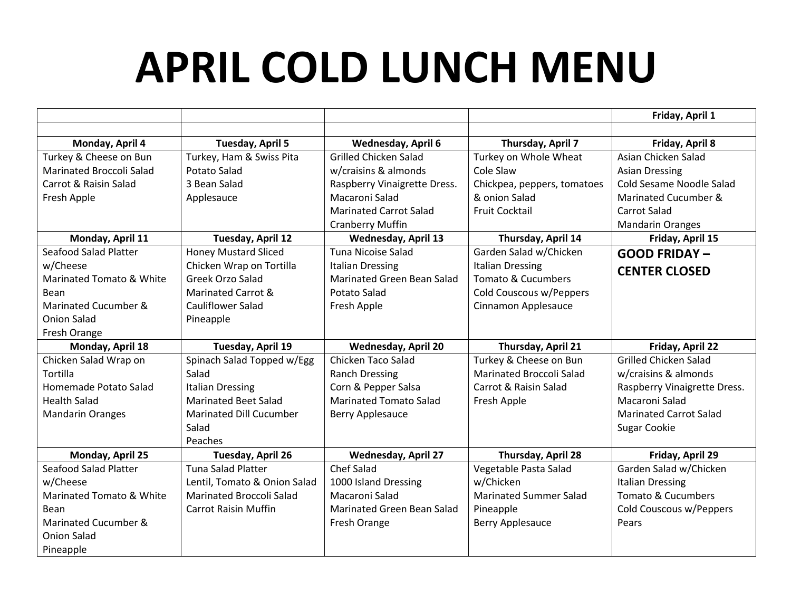## **APRIL COLD LUNCH MENU**

|                                 |                                 |                                   |                               | Friday, April 1               |
|---------------------------------|---------------------------------|-----------------------------------|-------------------------------|-------------------------------|
|                                 |                                 |                                   |                               |                               |
| Monday, April 4                 | Tuesday, April 5                | <b>Wednesday, April 6</b>         | Thursday, April 7             | Friday, April 8               |
| Turkey & Cheese on Bun          | Turkey, Ham & Swiss Pita        | <b>Grilled Chicken Salad</b>      | Turkey on Whole Wheat         | Asian Chicken Salad           |
| <b>Marinated Broccoli Salad</b> | Potato Salad                    | w/craisins & almonds              | Cole Slaw                     | <b>Asian Dressing</b>         |
| Carrot & Raisin Salad           | 3 Bean Salad                    | Raspberry Vinaigrette Dress.      | Chickpea, peppers, tomatoes   | Cold Sesame Noodle Salad      |
| Fresh Apple                     | Applesauce                      | Macaroni Salad                    | & onion Salad                 | Marinated Cucumber &          |
|                                 |                                 | <b>Marinated Carrot Salad</b>     | <b>Fruit Cocktail</b>         | Carrot Salad                  |
|                                 |                                 | <b>Cranberry Muffin</b>           |                               | <b>Mandarin Oranges</b>       |
| Monday, April 11                | Tuesday, April 12               | <b>Wednesday, April 13</b>        | Thursday, April 14            | Friday, April 15              |
| Seafood Salad Platter           | <b>Honey Mustard Sliced</b>     | Tuna Nicoise Salad                | Garden Salad w/Chicken        | <b>GOOD FRIDAY-</b>           |
| w/Cheese                        | Chicken Wrap on Tortilla        | <b>Italian Dressing</b>           | <b>Italian Dressing</b>       | <b>CENTER CLOSED</b>          |
| Marinated Tomato & White        | Greek Orzo Salad                | <b>Marinated Green Bean Salad</b> | <b>Tomato &amp; Cucumbers</b> |                               |
| Bean                            | Marinated Carrot &              | <b>Potato Salad</b>               | Cold Couscous w/Peppers       |                               |
| Marinated Cucumber &            | <b>Cauliflower Salad</b>        | Fresh Apple                       | Cinnamon Applesauce           |                               |
| Onion Salad                     | Pineapple                       |                                   |                               |                               |
| Fresh Orange                    |                                 |                                   |                               |                               |
| Monday, April 18                | Tuesday, April 19               | <b>Wednesday, April 20</b>        | Thursday, April 21            | Friday, April 22              |
| Chicken Salad Wrap on           | Spinach Salad Topped w/Egg      | Chicken Taco Salad                | Turkey & Cheese on Bun        | <b>Grilled Chicken Salad</b>  |
| Tortilla                        | Salad                           | <b>Ranch Dressing</b>             | Marinated Broccoli Salad      | w/craisins & almonds          |
| Homemade Potato Salad           | <b>Italian Dressing</b>         | Corn & Pepper Salsa               | Carrot & Raisin Salad         | Raspberry Vinaigrette Dress.  |
| <b>Health Salad</b>             | <b>Marinated Beet Salad</b>     | <b>Marinated Tomato Salad</b>     | Fresh Apple                   | Macaroni Salad                |
| <b>Mandarin Oranges</b>         | Marinated Dill Cucumber         | Berry Applesauce                  |                               | <b>Marinated Carrot Salad</b> |
|                                 | Salad                           |                                   |                               | <b>Sugar Cookie</b>           |
|                                 | Peaches                         |                                   |                               |                               |
| Monday, April 25                | Tuesday, April 26               | <b>Wednesday, April 27</b>        | Thursday, April 28            | Friday, April 29              |
| Seafood Salad Platter           | <b>Tuna Salad Platter</b>       | <b>Chef Salad</b>                 | Vegetable Pasta Salad         | Garden Salad w/Chicken        |
| w/Cheese                        | Lentil, Tomato & Onion Salad    | 1000 Island Dressing              | w/Chicken                     | <b>Italian Dressing</b>       |
| Marinated Tomato & White        | <b>Marinated Broccoli Salad</b> | Macaroni Salad                    | <b>Marinated Summer Salad</b> | <b>Tomato &amp; Cucumbers</b> |
| Bean                            | <b>Carrot Raisin Muffin</b>     | <b>Marinated Green Bean Salad</b> | Pineapple                     | Cold Couscous w/Peppers       |
| Marinated Cucumber &            |                                 | Fresh Orange                      | <b>Berry Applesauce</b>       | Pears                         |
| Onion Salad                     |                                 |                                   |                               |                               |
| Pineapple                       |                                 |                                   |                               |                               |